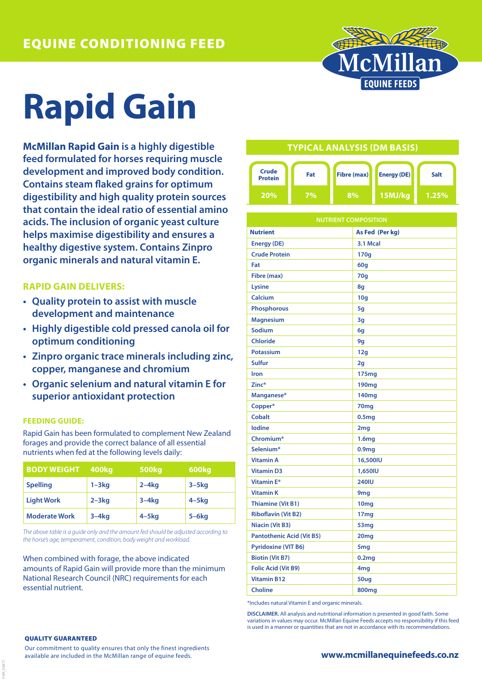

# **Rapid Gain**

**McMillan Rapid Gain is a highly digestible feed formulated for horses requiring muscle development and improved body condition. Contains steam flaked grains for optimum digestibility and high quality protein sources that contain the ideal ratio of essential amino acids. The inclusion of organic yeast culture helps maximise digestibility and ensures a healthy digestive system. Contains Zinpro organic minerals and natural vitamin E.**

## **RAPID GAIN DELIVERS:**

- **• Quality protein to assist with muscle development and maintenance**
- **• Highly digestible cold pressed canola oil for optimum conditioning**
- **• Zinpro organic trace minerals including zinc, copper, manganese and chromium**
- **• Organic selenium and natural vitamin E for superior antioxidant protection**

### **FEEDING GUIDE:**

Rapid Gain has been formulated to complement New Zealand forages and provide the correct balance of all essential nutrients when fed at the following levels daily:

| <b>BODY WEIGHT</b>   | 400kg     | <b>500kg</b> | 600kg      |
|----------------------|-----------|--------------|------------|
| <b>Spelling</b>      | $1 - 3kg$ | $2-4kq$      | $3 - 5$ kg |
| <b>Light Work</b>    | $2 - 3kq$ | $3-4kq$      | $4 - 5$ kg |
| <b>Moderate Work</b> | $3-4kq$   | $4-5kq$      | $5 - 6$ kg |

*The above table is a guide only and the amount fed should be adjusted according to the horse's age, temperament, condition, body weight and workload.*

When combined with forage, the above indicated amounts of Rapid Gain will provide more than the minimum National Research Council (NRC) requirements for each essential nutrient.

## **TYPICAL ANALYSIS (DM BASIS)**



| <b>NUTRIENT COMPOSITION</b>      |                   |  |
|----------------------------------|-------------------|--|
| <b>Nutrient</b>                  | As Fed (Per kg)   |  |
| <b>Energy (DE)</b>               | 3.1 Mcal          |  |
| <b>Crude Protein</b>             | 170g              |  |
| Fat                              | 60 <sub>g</sub>   |  |
| Fibre (max)                      | 70q               |  |
| Lysine                           | 8g                |  |
| Calcium                          | 10 <sub>g</sub>   |  |
| <b>Phosphorous</b>               | 5g                |  |
| <b>Magnesium</b>                 | 3g                |  |
| <b>Sodium</b>                    | 6g                |  |
| <b>Chloride</b>                  | 9g                |  |
| <b>Potassium</b>                 | 12g               |  |
| <b>Sulfur</b>                    | 2g                |  |
| Iron                             | 175mg             |  |
| Zinc*                            | 190 <sub>mg</sub> |  |
| Manganese*                       | 140mg             |  |
| Copper*                          | 70mg              |  |
| <b>Cobalt</b>                    | 0.5 <sub>mg</sub> |  |
| lodine                           | 2 <sub>mg</sub>   |  |
| Chromium*                        | 1.6mg             |  |
| Selenium*                        | 0.9 <sub>mg</sub> |  |
| <b>Vitamin A</b>                 | 16,500IU          |  |
| <b>Vitamin D3</b>                | 1,650IU           |  |
| Vitamin E*                       | <b>240IU</b>      |  |
| <b>Vitamin K</b>                 | 9 <sub>mg</sub>   |  |
| <b>Thiamine (Vit B1)</b>         | 10 <sub>mg</sub>  |  |
| <b>Riboflavin (Vit B2)</b>       | 17 <sub>mg</sub>  |  |
| Niacin (Vit B3)                  | 53mg              |  |
| <b>Pantothenic Acid (Vit B5)</b> | 20mg              |  |
| <b>Pyridoxine (VIT B6)</b>       | 5 <sub>mg</sub>   |  |
| <b>Biotin (Vit B7)</b>           | 0.2mg             |  |
| <b>Folic Acid (Vit B9)</b>       | 4 <sub>mg</sub>   |  |
| <b>Vitamin B12</b>               | 50ug              |  |
| <b>Choline</b>                   | 800 <sub>mg</sub> |  |

\*Includes natural Vitamin E and organic minerals.

**DISCLAIMER.** All analysis and nutritional information is presented in good faith. Some variations in values may occur. McMillan Equine Feeds accepts no responsibility if this feed is used in a manner or quantities that are not in accordance with its recommendations.

#### QUALITY GUARANTEED

FAR\_04971

Our commitment to quality ensures that only the finest ingredients available are included in the McMillan range of equine feeds.